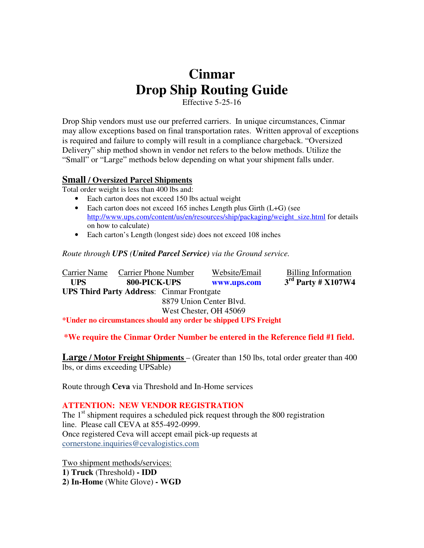# **Cinmar Drop Ship Routing Guide**

Effective 5-25-16

Drop Ship vendors must use our preferred carriers. In unique circumstances, Cinmar may allow exceptions based on final transportation rates. Written approval of exceptions is required and failure to comply will result in a compliance chargeback. "Oversized Delivery" ship method shown in vendor net refers to the below methods. Utilize the "Small" or "Large" methods below depending on what your shipment falls under.

## **Small / Oversized Parcel Shipments**

Total order weight is less than 400 lbs and:

- Each carton does not exceed 150 lbs actual weight
- Each carton does not exceed 165 inches Length plus Girth (L+G) (see http://www.ups.com/content/us/en/resources/ship/packaging/weight\_size.html for details on how to calculate)
- Each carton's Length (longest side) does not exceed 108 inches

#### *Route through UPS (United Parcel Service) via the Ground service.*

**Carrier Name** Carrier Phone Number Website/Email Billing Information  **UPS 800-PICK-UPS www.ups.com 3rd Party # X107W4 UPS Third Party Address**: Cinmar Frontgate 8879 Union Center Blvd. West Chester, OH 45069

**\*Under no circumstances should any order be shipped UPS Freight** 

## **\*We require the Cinmar Order Number be entered in the Reference field #1 field.**

**Large / Motor Freight Shipments** – (Greater than 150 lbs, total order greater than 400 lbs, or dims exceeding UPSable)

Route through **Ceva** via Threshold and In-Home services

### **ATTENTION: NEW VENDOR REGISTRATION**

The  $1<sup>st</sup>$  shipment requires a scheduled pick request through the 800 registration line. Please call CEVA at 855-492-0999. Once registered Ceva will accept email pick-up requests at cornerstone.inquiries@cevalogistics.com

Two shipment methods/services: **1) Truck** (Threshold) **- IDD 2) In-Home** (White Glove) **- WGD**